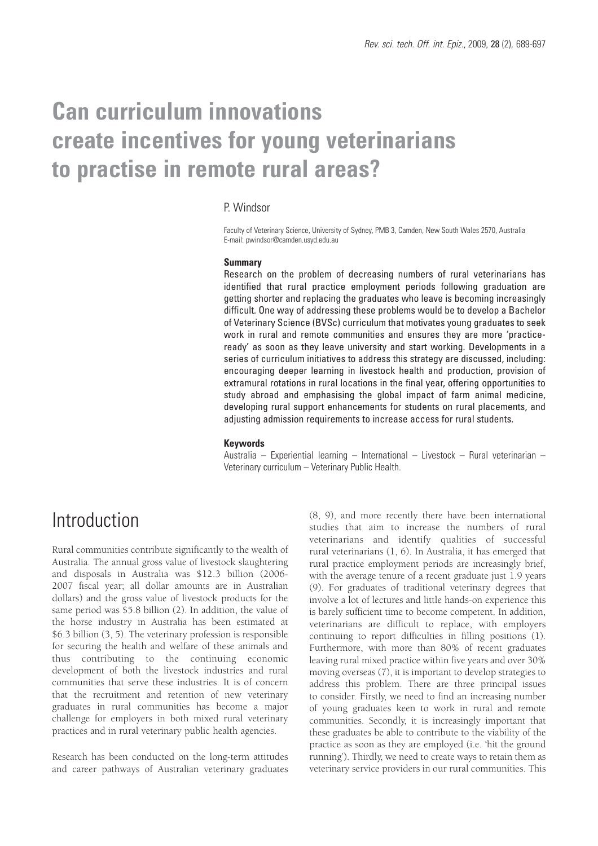# **Can curriculum innovations create incentives for young veterinarians to practise in remote rural areas?**

### P. Windsor

Faculty of Veterinary Science, University of Sydney, PMB 3, Camden, New South Wales 2570, Australia E-mail: pwindsor@camden.usyd.edu.au

#### **Summary**

Research on the problem of decreasing numbers of rural veterinarians has identified that rural practice employment periods following graduation are getting shorter and replacing the graduates who leave is becoming increasingly difficult. One way of addressing these problems would be to develop a Bachelor of Veterinary Science (BVSc) curriculum that motivates young graduates to seek work in rural and remote communities and ensures they are more 'practiceready' as soon as they leave university and start working. Developments in a series of curriculum initiatives to address this strategy are discussed, including: encouraging deeper learning in livestock health and production, provision of extramural rotations in rural locations in the final year, offering opportunities to study abroad and emphasising the global impact of farm animal medicine, developing rural support enhancements for students on rural placements, and adjusting admission requirements to increase access for rural students.

### **Keywords**

Australia – Experiential learning – International – Livestock – Rural veterinarian – Veterinary curriculum – Veterinary Public Health.

## **Introduction**

Rural communities contribute significantly to the wealth of Australia. The annual gross value of livestock slaughtering and disposals in Australia was \$12.3 billion (2006- 2007 fiscal year; all dollar amounts are in Australian dollars) and the gross value of livestock products for the same period was \$5.8 billion (2). In addition, the value of the horse industry in Australia has been estimated at \$6.3 billion (3, 5). The veterinary profession is responsible for securing the health and welfare of these animals and thus contributing to the continuing economic development of both the livestock industries and rural communities that serve these industries. It is of concern that the recruitment and retention of new veterinary graduates in rural communities has become a major challenge for employers in both mixed rural veterinary practices and in rural veterinary public health agencies.

Research has been conducted on the long-term attitudes and career pathways of Australian veterinary graduates

(8, 9), and more recently there have been international studies that aim to increase the numbers of rural veterinarians and identify qualities of successful rural veterinarians (1, 6). In Australia, it has emerged that rural practice employment periods are increasingly brief, with the average tenure of a recent graduate just 1.9 years (9). For graduates of traditional veterinary degrees that involve a lot of lectures and little hands-on experience this is barely sufficient time to become competent. In addition, veterinarians are difficult to replace, with employers continuing to report difficulties in filling positions (1). Furthermore, with more than 80% of recent graduates leaving rural mixed practice within five years and over 30% moving overseas (7), it is important to develop strategies to address this problem. There are three principal issues to consider. Firstly, we need to find an increasing number of young graduates keen to work in rural and remote communities. Secondly, it is increasingly important that these graduates be able to contribute to the viability of the practice as soon as they are employed (i.e. 'hit the ground running'). Thirdly, we need to create ways to retain them as veterinary service providers in our rural communities. This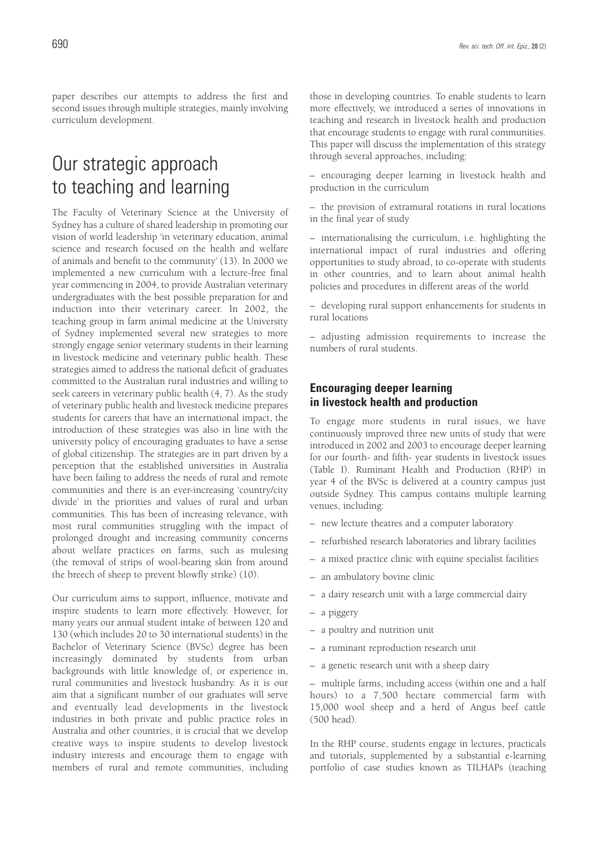paper describes our attempts to address the first and second issues through multiple strategies, mainly involving curriculum development.

# Our strategic approach to teaching and learning

The Faculty of Veterinary Science at the University of Sydney has a culture of shared leadership in promoting our vision of world leadership 'in veterinary education, animal science and research focused on the health and welfare of animals and benefit to the community' (13). In 2000 we implemented a new curriculum with a lecture-free final year commencing in 2004, to provide Australian veterinary undergraduates with the best possible preparation for and induction into their veterinary career. In 2002, the teaching group in farm animal medicine at the University of Sydney implemented several new strategies to more strongly engage senior veterinary students in their learning in livestock medicine and veterinary public health. These strategies aimed to address the national deficit of graduates committed to the Australian rural industries and willing to seek careers in veterinary public health (4, 7). As the study of veterinary public health and livestock medicine prepares students for careers that have an international impact, the introduction of these strategies was also in line with the university policy of encouraging graduates to have a sense of global citizenship. The strategies are in part driven by a perception that the established universities in Australia have been failing to address the needs of rural and remote communities and there is an ever-increasing 'country/city divide' in the priorities and values of rural and urban communities. This has been of increasing relevance, with most rural communities struggling with the impact of prolonged drought and increasing community concerns about welfare practices on farms, such as mulesing (the removal of strips of wool-bearing skin from around the breech of sheep to prevent blowfly strike) (10).

Our curriculum aims to support, influence, motivate and inspire students to learn more effectively. However, for many years our annual student intake of between 120 and 130 (which includes 20 to 30 international students) in the Bachelor of Veterinary Science (BVSc) degree has been increasingly dominated by students from urban backgrounds with little knowledge of, or experience in, rural communities and livestock husbandry. As it is our aim that a significant number of our graduates will serve and eventually lead developments in the livestock industries in both private and public practice roles in Australia and other countries, it is crucial that we develop creative ways to inspire students to develop livestock industry interests and encourage them to engage with members of rural and remote communities, including those in developing countries. To enable students to learn more effectively, we introduced a series of innovations in teaching and research in livestock health and production that encourage students to engage with rural communities. This paper will discuss the implementation of this strategy through several approaches, including:

– encouraging deeper learning in livestock health and production in the curriculum

– the provision of extramural rotations in rural locations in the final year of study

– internationalising the curriculum, i.e. highlighting the international impact of rural industries and offering opportunities to study abroad, to co-operate with students in other countries, and to learn about animal health policies and procedures in different areas of the world

– developing rural support enhancements for students in rural locations

– adjusting admission requirements to increase the numbers of rural students.

### **Encouraging deeper learning in livestock health and production**

To engage more students in rural issues, we have continuously improved three new units of study that were introduced in 2002 and 2003 to encourage deeper learning for our fourth- and fifth- year students in livestock issues (Table I). Ruminant Health and Production (RHP) in year 4 of the BVSc is delivered at a country campus just outside Sydney. This campus contains multiple learning venues, including:

- new lecture theatres and a computer laboratory
- refurbished research laboratories and library facilities
- a mixed practice clinic with equine specialist facilities
- an ambulatory bovine clinic
- a dairy research unit with a large commercial dairy
- a piggery
- a poultry and nutrition unit
- a ruminant reproduction research unit
- a genetic research unit with a sheep dairy

– multiple farms, including access (within one and a half hours) to a 7,500 hectare commercial farm with 15,000 wool sheep and a herd of Angus beef cattle (500 head).

In the RHP course, students engage in lectures, practicals and tutorials, supplemented by a substantial e-learning portfolio of case studies known as TILHAPs (teaching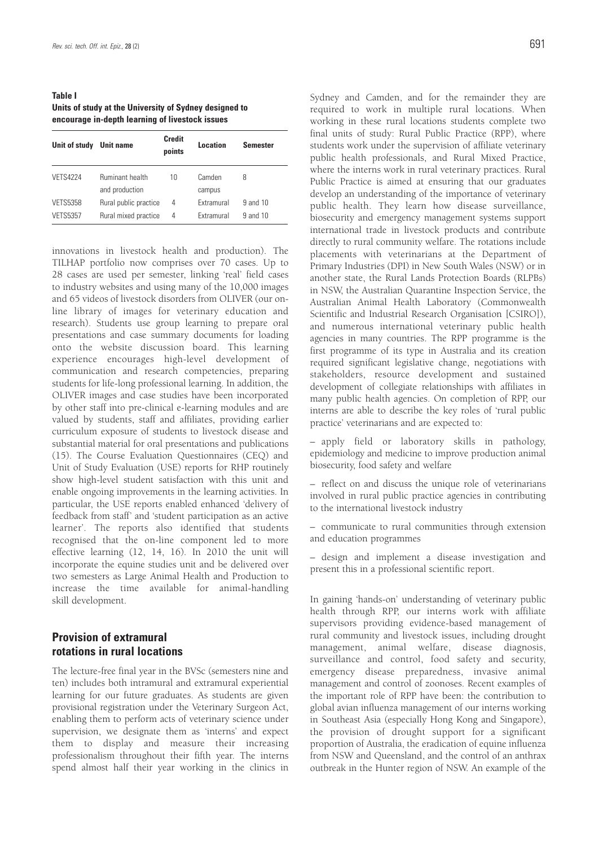**Table I Units of study at the University of Sydney designed to encourage in-depth learning of livestock issues**

| Unit of study   | <b>Unit name</b>                         | <b>Credit</b><br>points | Location         | <b>Semester</b> |
|-----------------|------------------------------------------|-------------------------|------------------|-----------------|
| <b>VETS4224</b> | <b>Ruminant health</b><br>and production | 10                      | Camden<br>campus | 8               |
| <b>VETS5358</b> | Rural public practice                    | 4                       | Extramural       | 9 and 10        |
| <b>VETS5357</b> | Rural mixed practice                     | 4                       | Extramural       | 9 and 10        |

innovations in livestock health and production). The TILHAP portfolio now comprises over 70 cases. Up to 28 cases are used per semester, linking 'real' field cases to industry websites and using many of the 10,000 images and 65 videos of livestock disorders from OLIVER (our online library of images for veterinary education and research). Students use group learning to prepare oral presentations and case summary documents for loading onto the website discussion board. This learning experience encourages high-level development of communication and research competencies, preparing students for life-long professional learning. In addition, the OLIVER images and case studies have been incorporated by other staff into pre-clinical e-learning modules and are valued by students, staff and affiliates, providing earlier curriculum exposure of students to livestock disease and substantial material for oral presentations and publications (15). The Course Evaluation Questionnaires (CEQ) and Unit of Study Evaluation (USE) reports for RHP routinely show high-level student satisfaction with this unit and enable ongoing improvements in the learning activities. In particular, the USE reports enabled enhanced 'delivery of feedback from staff' and 'student participation as an active learner'. The reports also identified that students recognised that the on-line component led to more effective learning (12, 14, 16). In 2010 the unit will incorporate the equine studies unit and be delivered over two semesters as Large Animal Health and Production to increase the time available for animal-handling skill development.

### **Provision of extramural rotations in rural locations**

The lecture-free final year in the BVSc (semesters nine and ten) includes both intramural and extramural experiential learning for our future graduates. As students are given provisional registration under the Veterinary Surgeon Act, enabling them to perform acts of veterinary science under supervision, we designate them as 'interns' and expect them to display and measure their increasing professionalism throughout their fifth year. The interns spend almost half their year working in the clinics in

Sydney and Camden, and for the remainder they are required to work in multiple rural locations. When working in these rural locations students complete two final units of study: Rural Public Practice (RPP), where students work under the supervision of affiliate veterinary public health professionals, and Rural Mixed Practice, where the interns work in rural veterinary practices. Rural Public Practice is aimed at ensuring that our graduates develop an understanding of the importance of veterinary public health. They learn how disease surveillance, biosecurity and emergency management systems support international trade in livestock products and contribute directly to rural community welfare. The rotations include placements with veterinarians at the Department of Primary Industries (DPI) in New South Wales (NSW) or in another state, the Rural Lands Protection Boards (RLPBs) in NSW, the Australian Quarantine Inspection Service, the Australian Animal Health Laboratory (Commonwealth Scientific and Industrial Research Organisation [CSIRO]), and numerous international veterinary public health agencies in many countries. The RPP programme is the first programme of its type in Australia and its creation required significant legislative change, negotiations with stakeholders, resource development and sustained development of collegiate relationships with affiliates in many public health agencies. On completion of RPP, our interns are able to describe the key roles of 'rural public practice' veterinarians and are expected to:

– apply field or laboratory skills in pathology, epidemiology and medicine to improve production animal biosecurity, food safety and welfare

– reflect on and discuss the unique role of veterinarians involved in rural public practice agencies in contributing to the international livestock industry

– communicate to rural communities through extension and education programmes

– design and implement a disease investigation and present this in a professional scientific report.

In gaining 'hands-on' understanding of veterinary public health through RPP, our interns work with affiliate supervisors providing evidence-based management of rural community and livestock issues, including drought management, animal welfare, disease diagnosis, surveillance and control, food safety and security, emergency disease preparedness, invasive animal management and control of zoonoses. Recent examples of the important role of RPP have been: the contribution to global avian influenza management of our interns working in Southeast Asia (especially Hong Kong and Singapore), the provision of drought support for a significant proportion of Australia, the eradication of equine influenza from NSW and Queensland, and the control of an anthrax outbreak in the Hunter region of NSW. An example of the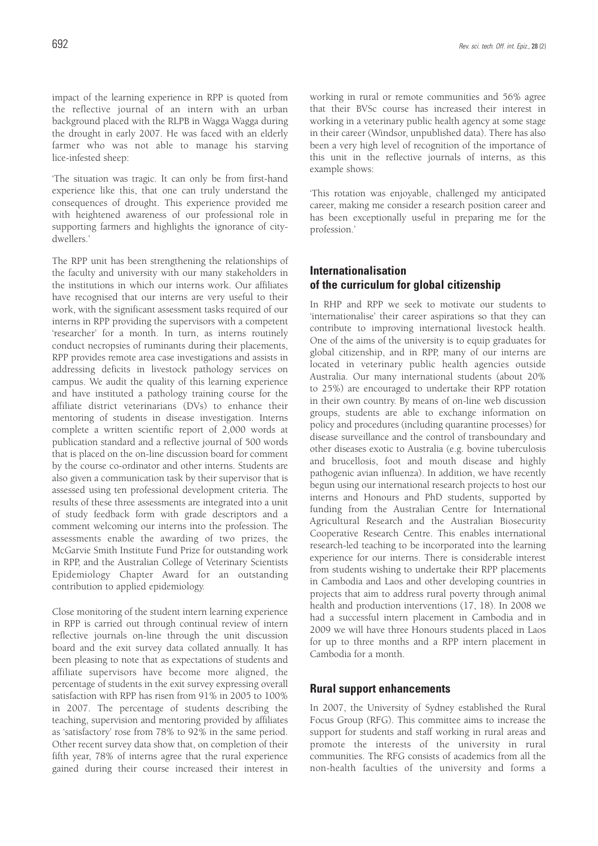impact of the learning experience in RPP is quoted from the reflective journal of an intern with an urban background placed with the RLPB in Wagga Wagga during the drought in early 2007. He was faced with an elderly farmer who was not able to manage his starving lice-infested sheep:

'The situation was tragic. It can only be from first-hand experience like this, that one can truly understand the consequences of drought. This experience provided me with heightened awareness of our professional role in supporting farmers and highlights the ignorance of citydwellers.'

The RPP unit has been strengthening the relationships of the faculty and university with our many stakeholders in the institutions in which our interns work. Our affiliates have recognised that our interns are very useful to their work, with the significant assessment tasks required of our interns in RPP providing the supervisors with a competent 'researcher' for a month. In turn, as interns routinely conduct necropsies of ruminants during their placements, RPP provides remote area case investigations and assists in addressing deficits in livestock pathology services on campus. We audit the quality of this learning experience and have instituted a pathology training course for the affiliate district veterinarians (DVs) to enhance their mentoring of students in disease investigation. Interns complete a written scientific report of 2,000 words at publication standard and a reflective journal of 500 words that is placed on the on-line discussion board for comment by the course co-ordinator and other interns. Students are also given a communication task by their supervisor that is assessed using ten professional development criteria. The results of these three assessments are integrated into a unit of study feedback form with grade descriptors and a comment welcoming our interns into the profession. The assessments enable the awarding of two prizes, the McGarvie Smith Institute Fund Prize for outstanding work in RPP, and the Australian College of Veterinary Scientists Epidemiology Chapter Award for an outstanding contribution to applied epidemiology.

Close monitoring of the student intern learning experience in RPP is carried out through continual review of intern reflective journals on-line through the unit discussion board and the exit survey data collated annually. It has been pleasing to note that as expectations of students and affiliate supervisors have become more aligned, the percentage of students in the exit survey expressing overall satisfaction with RPP has risen from 91% in 2005 to 100% in 2007. The percentage of students describing the teaching, supervision and mentoring provided by affiliates as 'satisfactory' rose from 78% to 92% in the same period. Other recent survey data show that, on completion of their fifth year, 78% of interns agree that the rural experience gained during their course increased their interest in working in rural or remote communities and 56% agree that their BVSc course has increased their interest in working in a veterinary public health agency at some stage in their career (Windsor, unpublished data). There has also been a very high level of recognition of the importance of this unit in the reflective journals of interns, as this example shows:

'This rotation was enjoyable, challenged my anticipated career, making me consider a research position career and has been exceptionally useful in preparing me for the profession.'

### **Internationalisation of the curriculum for global citizenship**

In RHP and RPP we seek to motivate our students to 'internationalise' their career aspirations so that they can contribute to improving international livestock health. One of the aims of the university is to equip graduates for global citizenship, and in RPP, many of our interns are located in veterinary public health agencies outside Australia. Our many international students (about 20% to 25%) are encouraged to undertake their RPP rotation in their own country. By means of on-line web discussion groups, students are able to exchange information on policy and procedures (including quarantine processes) for disease surveillance and the control of transboundary and other diseases exotic to Australia (e.g. bovine tuberculosis and brucellosis, foot and mouth disease and highly pathogenic avian influenza). In addition, we have recently begun using our international research projects to host our interns and Honours and PhD students, supported by funding from the Australian Centre for International Agricultural Research and the Australian Biosecurity Cooperative Research Centre. This enables international research-led teaching to be incorporated into the learning experience for our interns. There is considerable interest from students wishing to undertake their RPP placements in Cambodia and Laos and other developing countries in projects that aim to address rural poverty through animal health and production interventions (17, 18). In 2008 we had a successful intern placement in Cambodia and in 2009 we will have three Honours students placed in Laos for up to three months and a RPP intern placement in Cambodia for a month.

### **Rural support enhancements**

In 2007, the University of Sydney established the Rural Focus Group (RFG). This committee aims to increase the support for students and staff working in rural areas and promote the interests of the university in rural communities. The RFG consists of academics from all the non-health faculties of the university and forms a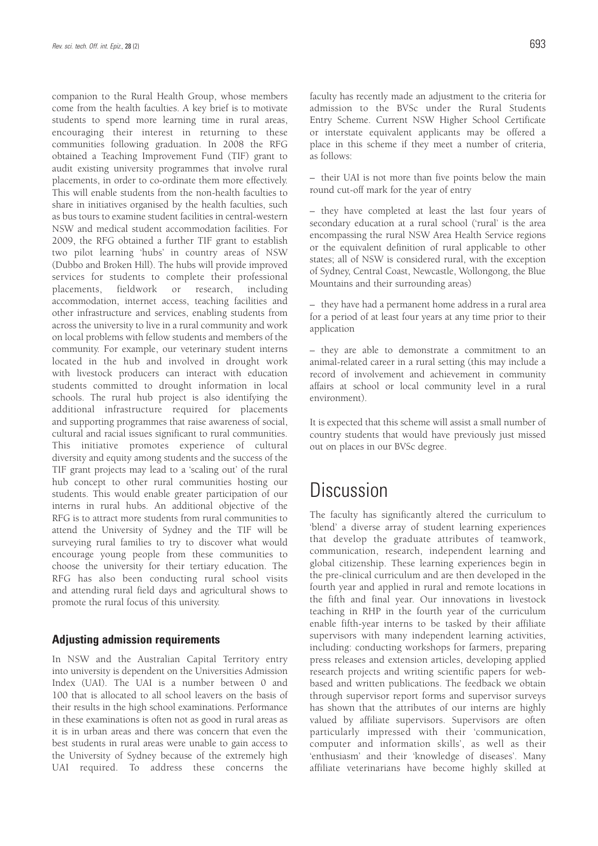companion to the Rural Health Group, whose members come from the health faculties. A key brief is to motivate students to spend more learning time in rural areas, encouraging their interest in returning to these communities following graduation. In 2008 the RFG obtained a Teaching Improvement Fund (TIF) grant to audit existing university programmes that involve rural placements, in order to co-ordinate them more effectively. This will enable students from the non-health faculties to share in initiatives organised by the health faculties, such as bus tours to examine student facilities in central-western NSW and medical student accommodation facilities. For 2009, the RFG obtained a further TIF grant to establish two pilot learning 'hubs' in country areas of NSW (Dubbo and Broken Hill). The hubs will provide improved services for students to complete their professional placements, fieldwork or research, including accommodation, internet access, teaching facilities and other infrastructure and services, enabling students from across the university to live in a rural community and work on local problems with fellow students and members of the community. For example, our veterinary student interns located in the hub and involved in drought work with livestock producers can interact with education students committed to drought information in local schools. The rural hub project is also identifying the additional infrastructure required for placements and supporting programmes that raise awareness of social, cultural and racial issues significant to rural communities. This initiative promotes experience of cultural diversity and equity among students and the success of the TIF grant projects may lead to a 'scaling out' of the rural hub concept to other rural communities hosting our students. This would enable greater participation of our interns in rural hubs. An additional objective of the RFG is to attract more students from rural communities to attend the University of Sydney and the TIF will be surveying rural families to try to discover what would encourage young people from these communities to choose the university for their tertiary education. The RFG has also been conducting rural school visits and attending rural field days and agricultural shows to promote the rural focus of this university.

#### **Adjusting admission requirements**

In NSW and the Australian Capital Territory entry into university is dependent on the Universities Admission Index (UAI). The UAI is a number between 0 and 100 that is allocated to all school leavers on the basis of their results in the high school examinations. Performance in these examinations is often not as good in rural areas as it is in urban areas and there was concern that even the best students in rural areas were unable to gain access to the University of Sydney because of the extremely high UAI required. To address these concerns the

faculty has recently made an adjustment to the criteria for admission to the BVSc under the Rural Students Entry Scheme. Current NSW Higher School Certificate or interstate equivalent applicants may be offered a place in this scheme if they meet a number of criteria, as follows:

– their UAI is not more than five points below the main round cut-off mark for the year of entry

– they have completed at least the last four years of secondary education at a rural school ('rural' is the area encompassing the rural NSW Area Health Service regions or the equivalent definition of rural applicable to other states; all of NSW is considered rural, with the exception of Sydney, Central Coast, Newcastle, Wollongong, the Blue Mountains and their surrounding areas)

– they have had a permanent home address in a rural area for a period of at least four years at any time prior to their application

– they are able to demonstrate a commitment to an animal-related career in a rural setting (this may include a record of involvement and achievement in community affairs at school or local community level in a rural environment).

It is expected that this scheme will assist a small number of country students that would have previously just missed out on places in our BVSc degree.

# **Discussion**

The faculty has significantly altered the curriculum to 'blend' a diverse array of student learning experiences that develop the graduate attributes of teamwork, communication, research, independent learning and global citizenship. These learning experiences begin in the pre-clinical curriculum and are then developed in the fourth year and applied in rural and remote locations in the fifth and final year. Our innovations in livestock teaching in RHP in the fourth year of the curriculum enable fifth-year interns to be tasked by their affiliate supervisors with many independent learning activities, including: conducting workshops for farmers, preparing press releases and extension articles, developing applied research projects and writing scientific papers for webbased and written publications. The feedback we obtain through supervisor report forms and supervisor surveys has shown that the attributes of our interns are highly valued by affiliate supervisors. Supervisors are often particularly impressed with their 'communication, computer and information skills', as well as their 'enthusiasm' and their 'knowledge of diseases'. Many affiliate veterinarians have become highly skilled at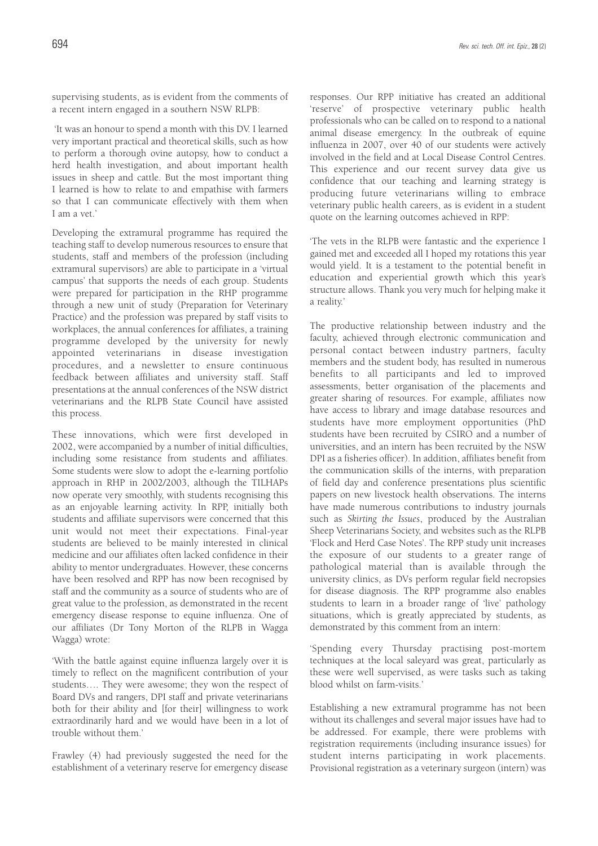supervising students, as is evident from the comments of a recent intern engaged in a southern NSW RLPB:

'It was an honour to spend a month with this DV. I learned very important practical and theoretical skills, such as how to perform a thorough ovine autopsy, how to conduct a herd health investigation, and about important health issues in sheep and cattle. But the most important thing I learned is how to relate to and empathise with farmers so that I can communicate effectively with them when I am a vet.'

Developing the extramural programme has required the teaching staff to develop numerous resources to ensure that students, staff and members of the profession (including extramural supervisors) are able to participate in a 'virtual campus' that supports the needs of each group. Students were prepared for participation in the RHP programme through a new unit of study (Preparation for Veterinary Practice) and the profession was prepared by staff visits to workplaces, the annual conferences for affiliates, a training programme developed by the university for newly appointed veterinarians in disease investigation procedures, and a newsletter to ensure continuous feedback between affiliates and university staff. Staff presentations at the annual conferences of the NSW district veterinarians and the RLPB State Council have assisted this process.

These innovations, which were first developed in 2002, were accompanied by a number of initial difficulties, including some resistance from students and affiliates. Some students were slow to adopt the e-learning portfolio approach in RHP in 2002/2003, although the TILHAPs now operate very smoothly, with students recognising this as an enjoyable learning activity. In RPP, initially both students and affiliate supervisors were concerned that this unit would not meet their expectations. Final-year students are believed to be mainly interested in clinical medicine and our affiliates often lacked confidence in their ability to mentor undergraduates. However, these concerns have been resolved and RPP has now been recognised by staff and the community as a source of students who are of great value to the profession, as demonstrated in the recent emergency disease response to equine influenza. One of our affiliates (Dr Tony Morton of the RLPB in Wagga Wagga) wrote:

'With the battle against equine influenza largely over it is timely to reflect on the magnificent contribution of your students…. They were awesome; they won the respect of Board DVs and rangers, DPI staff and private veterinarians both for their ability and [for their] willingness to work extraordinarily hard and we would have been in a lot of trouble without them.'

Frawley (4) had previously suggested the need for the establishment of a veterinary reserve for emergency disease responses. Our RPP initiative has created an additional 'reserve' of prospective veterinary public health professionals who can be called on to respond to a national animal disease emergency. In the outbreak of equine influenza in 2007, over 40 of our students were actively involved in the field and at Local Disease Control Centres. This experience and our recent survey data give us confidence that our teaching and learning strategy is producing future veterinarians willing to embrace veterinary public health careers, as is evident in a student quote on the learning outcomes achieved in RPP:

'The vets in the RLPB were fantastic and the experience I gained met and exceeded all I hoped my rotations this year would yield. It is a testament to the potential benefit in education and experiential growth which this year's structure allows. Thank you very much for helping make it a reality.'

The productive relationship between industry and the faculty, achieved through electronic communication and personal contact between industry partners, faculty members and the student body, has resulted in numerous benefits to all participants and led to improved assessments, better organisation of the placements and greater sharing of resources. For example, affiliates now have access to library and image database resources and students have more employment opportunities (PhD students have been recruited by CSIRO and a number of universities, and an intern has been recruited by the NSW DPI as a fisheries officer). In addition, affiliates benefit from the communication skills of the interns, with preparation of field day and conference presentations plus scientific papers on new livestock health observations. The interns have made numerous contributions to industry journals such as *Skirting the Issues*, produced by the Australian Sheep Veterinarians Society, and websites such as the RLPB 'Flock and Herd Case Notes'. The RPP study unit increases the exposure of our students to a greater range of pathological material than is available through the university clinics, as DVs perform regular field necropsies for disease diagnosis. The RPP programme also enables students to learn in a broader range of 'live' pathology situations, which is greatly appreciated by students, as demonstrated by this comment from an intern:

'Spending every Thursday practising post-mortem techniques at the local saleyard was great, particularly as these were well supervised, as were tasks such as taking blood whilst on farm-visits.'

Establishing a new extramural programme has not been without its challenges and several major issues have had to be addressed. For example, there were problems with registration requirements (including insurance issues) for student interns participating in work placements. Provisional registration as a veterinary surgeon (intern) was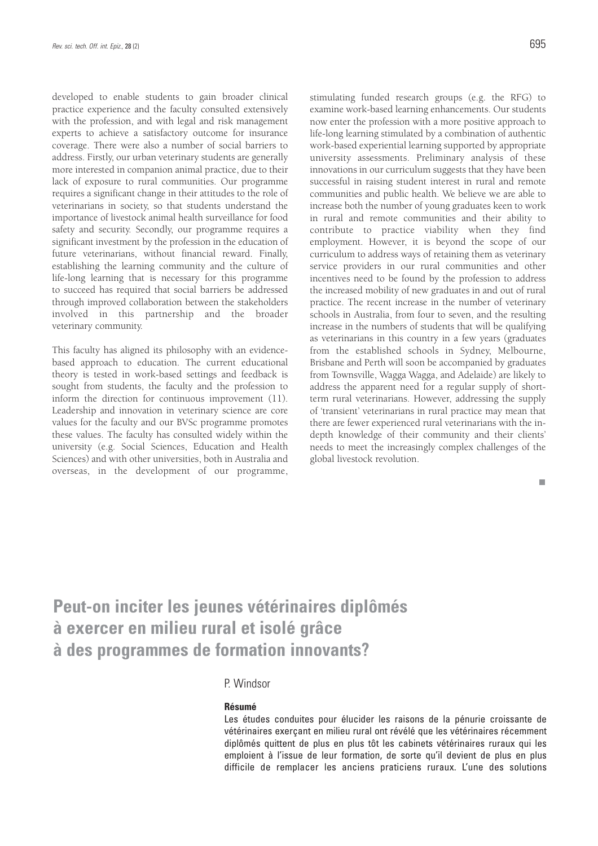developed to enable students to gain broader clinical practice experience and the faculty consulted extensively with the profession, and with legal and risk management experts to achieve a satisfactory outcome for insurance coverage. There were also a number of social barriers to address. Firstly, our urban veterinary students are generally more interested in companion animal practice, due to their lack of exposure to rural communities. Our programme requires a significant change in their attitudes to the role of veterinarians in society, so that students understand the importance of livestock animal health surveillance for food safety and security. Secondly, our programme requires a significant investment by the profession in the education of future veterinarians, without financial reward. Finally, establishing the learning community and the culture of life-long learning that is necessary for this programme to succeed has required that social barriers be addressed through improved collaboration between the stakeholders involved in this partnership and the broader veterinary community.

This faculty has aligned its philosophy with an evidencebased approach to education. The current educational theory is tested in work-based settings and feedback is sought from students, the faculty and the profession to inform the direction for continuous improvement (11). Leadership and innovation in veterinary science are core values for the faculty and our BVSc programme promotes these values. The faculty has consulted widely within the university (e.g. Social Sciences, Education and Health Sciences) and with other universities, both in Australia and overseas, in the development of our programme, stimulating funded research groups (e.g. the RFG) to examine work-based learning enhancements. Our students now enter the profession with a more positive approach to life-long learning stimulated by a combination of authentic work-based experiential learning supported by appropriate university assessments. Preliminary analysis of these innovations in our curriculum suggests that they have been successful in raising student interest in rural and remote communities and public health. We believe we are able to increase both the number of young graduates keen to work in rural and remote communities and their ability to contribute to practice viability when they find employment. However, it is beyond the scope of our curriculum to address ways of retaining them as veterinary service providers in our rural communities and other incentives need to be found by the profession to address the increased mobility of new graduates in and out of rural practice. The recent increase in the number of veterinary schools in Australia, from four to seven, and the resulting increase in the numbers of students that will be qualifying as veterinarians in this country in a few years (graduates from the established schools in Sydney, Melbourne, Brisbane and Perth will soon be accompanied by graduates from Townsville, Wagga Wagga, and Adelaide) are likely to address the apparent need for a regular supply of shortterm rural veterinarians. However, addressing the supply of 'transient' veterinarians in rural practice may mean that there are fewer experienced rural veterinarians with the indepth knowledge of their community and their clients' needs to meet the increasingly complex challenges of the global livestock revolution.

 $\overline{\phantom{a}}$ 

# **Peut-on inciter les jeunes vétérinaires diplômés à exercer en milieu rural et isolé grâce à des programmes de formation innovants?**

### P. Windsor

#### **Résumé**

Les études conduites pour élucider les raisons de la pénurie croissante de vétérinaires exerçant en milieu rural ont révélé que les vétérinaires récemment diplômés quittent de plus en plus tôt les cabinets vétérinaires ruraux qui les emploient à l'issue de leur formation, de sorte qu'il devient de plus en plus difficile de remplacer les anciens praticiens ruraux. L'une des solutions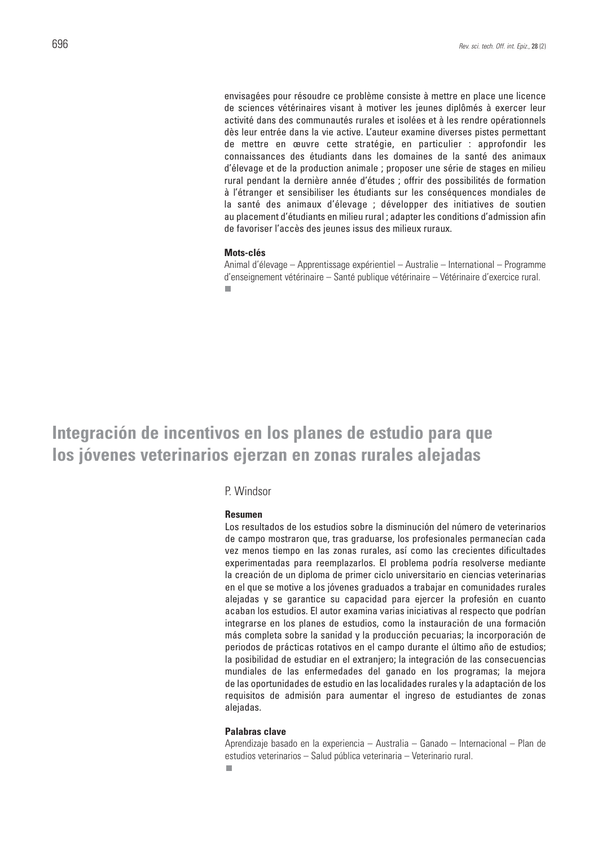envisagées pour résoudre ce problème consiste à mettre en place une licence de sciences vétérinaires visant à motiver les jeunes diplômés à exercer leur activité dans des communautés rurales et isolées et à les rendre opérationnels dès leur entrée dans la vie active. L'auteur examine diverses pistes permettant de mettre en œuvre cette stratégie, en particulier : approfondir les connaissances des étudiants dans les domaines de la santé des animaux d'élevage et de la production animale ; proposer une série de stages en milieu rural pendant la dernière année d'études ; offrir des possibilités de formation à l'étranger et sensibiliser les étudiants sur les conséquences mondiales de la santé des animaux d'élevage ; développer des initiatives de soutien au placement d'étudiants en milieu rural ; adapter les conditions d'admission afin de favoriser l'accès des jeunes issus des milieux ruraux.

#### **Mots-clés**

Animal d'élevage – Apprentissage expérientiel – Australie – International – Programme d'enseignement vétérinaire – Santé publique vétérinaire – Vétérinaire d'exercice rural.П

## **Integración de incentivos en los planes de estudio para que los jóvenes veterinarios ejerzan en zonas rurales alejadas**

### P. Windsor

#### **Resumen**

Los resultados de los estudios sobre la disminución del número de veterinarios de campo mostraron que, tras graduarse, los profesionales permanecían cada vez menos tiempo en las zonas rurales, así como las crecientes dificultades experimentadas para reemplazarlos. El problema podría resolverse mediante la creación de un diploma de primer ciclo universitario en ciencias veterinarias en el que se motive a los jóvenes graduados a trabajar en comunidades rurales alejadas y se garantice su capacidad para ejercer la profesión en cuanto acaban los estudios. El autor examina varias iniciativas al respecto que podrían integrarse en los planes de estudios, como la instauración de una formación más completa sobre la sanidad y la producción pecuarias; la incorporación de periodos de prácticas rotativos en el campo durante el último año de estudios; la posibilidad de estudiar en el extranjero; la integración de las consecuencias mundiales de las enfermedades del ganado en los programas; la mejora de las oportunidades de estudio en las localidades rurales y la adaptación de los requisitos de admisión para aumentar el ingreso de estudiantes de zonas alejadas.

### **Palabras clave**

Aprendizaje basado en la experiencia – Australia – Ganado – Internacional – Plan de estudios veterinarios – Salud pública veterinaria – Veterinario rural. ٠